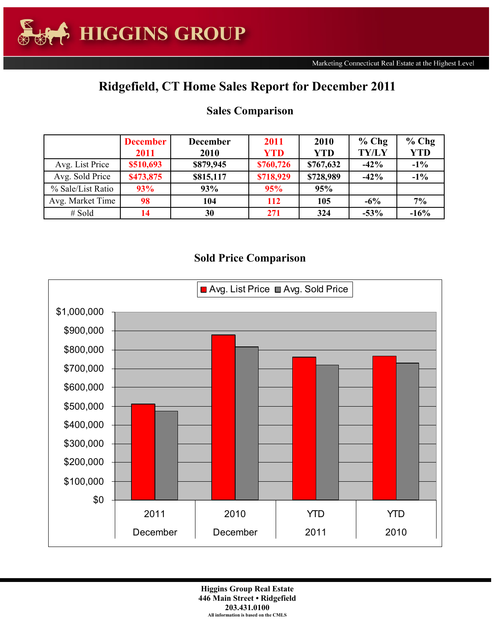## **Ridgefield, CT Home Sales Report for December 2011**

|                   | <b>December</b> | <b>December</b> | 2011       | 2010       | $%$ Chg      | $%$ Chg    |
|-------------------|-----------------|-----------------|------------|------------|--------------|------------|
|                   | 2011            | 2010            | <b>YTD</b> | <b>YTD</b> | <b>TY/LY</b> | <b>YTD</b> |
| Avg. List Price   | \$510,693       | \$879,945       | \$760,726  | \$767,632  | $-42%$       | $-1\%$     |
| Avg. Sold Price   | \$473,875       | \$815,117       | \$718,929  | \$728,989  | $-42%$       | $-1\%$     |
| % Sale/List Ratio | 93%             | 93%             | 95%        | 95%        |              |            |
| Avg. Market Time  | 98              | 104             | <b>112</b> | 105        | $-6\%$       | 7%         |
| $#$ Sold          | 14              | 30              | 271        | 324        | $-53%$       | $-16%$     |

## **Sales Comparison**

## **Sold Price Comparison**